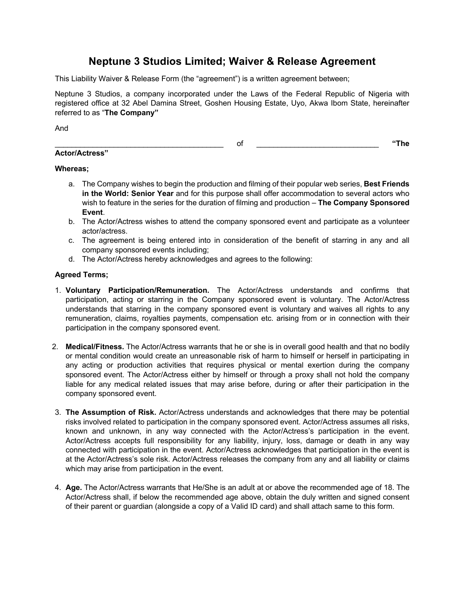# **Neptune 3 Studios Limited; Waiver & Release Agreement**

This Liability Waiver & Release Form (the "agreement") is a written agreement between;

Neptune 3 Studios, a company incorporated under the Laws of the Federal Republic of Nigeria with registered office at 32 Abel Damina Street, Goshen Housing Estate, Uyo, Akwa Ibom State, hereinafter referred to as "**The Company"**

And

# **Actor/Actress"**

\_\_\_\_\_\_\_\_\_\_\_\_\_\_\_\_\_\_\_\_\_\_\_\_\_\_\_\_\_\_\_\_\_\_\_\_\_\_\_\_ of \_\_\_\_\_\_\_\_\_\_\_\_\_\_\_\_\_\_\_\_\_\_\_\_\_\_\_\_\_ **"The** 

## **Whereas;**

- a. The Company wishes to begin the production and filming of their popular web series, **Best Friends in the World: Senior Year** and for this purpose shall offer accommodation to several actors who wish to feature in the series for the duration of filming and production – **The Company Sponsored Event**.
- b. The Actor/Actress wishes to attend the company sponsored event and participate as a volunteer actor/actress.
- c. The agreement is being entered into in consideration of the benefit of starring in any and all company sponsored events including;
- d. The Actor/Actress hereby acknowledges and agrees to the following:

### **Agreed Terms;**

- 1. **Voluntary Participation/Remuneration.** The Actor/Actress understands and confirms that participation, acting or starring in the Company sponsored event is voluntary. The Actor/Actress understands that starring in the company sponsored event is voluntary and waives all rights to any remuneration, claims, royalties payments, compensation etc. arising from or in connection with their participation in the company sponsored event.
- 2. **Medical/Fitness.** The Actor/Actress warrants that he or she is in overall good health and that no bodily or mental condition would create an unreasonable risk of harm to himself or herself in participating in any acting or production activities that requires physical or mental exertion during the company sponsored event. The Actor/Actress either by himself or through a proxy shall not hold the company liable for any medical related issues that may arise before, during or after their participation in the company sponsored event.
- 3. **The Assumption of Risk.** Actor/Actress understands and acknowledges that there may be potential risks involved related to participation in the company sponsored event. Actor/Actress assumes all risks, known and unknown, in any way connected with the Actor/Actress's participation in the event. Actor/Actress accepts full responsibility for any liability, injury, loss, damage or death in any way connected with participation in the event. Actor/Actress acknowledges that participation in the event is at the Actor/Actress's sole risk. Actor/Actress releases the company from any and all liability or claims which may arise from participation in the event.
- 4. **Age.** The Actor/Actress warrants that He/She is an adult at or above the recommended age of 18. The Actor/Actress shall, if below the recommended age above, obtain the duly written and signed consent of their parent or guardian (alongside a copy of a Valid ID card) and shall attach same to this form.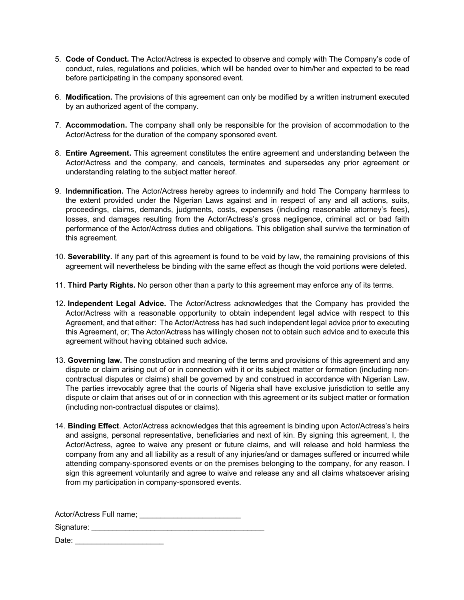- 5. **Code of Conduct.** The Actor/Actress is expected to observe and comply with The Company's code of conduct, rules, regulations and policies, which will be handed over to him/her and expected to be read before participating in the company sponsored event.
- 6. **Modification.** The provisions of this agreement can only be modified by a written instrument executed by an authorized agent of the company.
- 7. **Accommodation.** The company shall only be responsible for the provision of accommodation to the Actor/Actress for the duration of the company sponsored event.
- 8. **Entire Agreement.** This agreement constitutes the entire agreement and understanding between the Actor/Actress and the company, and cancels, terminates and supersedes any prior agreement or understanding relating to the subject matter hereof.
- 9. **Indemnification.** The Actor/Actress hereby agrees to indemnify and hold The Company harmless to the extent provided under the Nigerian Laws against and in respect of any and all actions, suits, proceedings, claims, demands, judgments, costs, expenses (including reasonable attorney's fees), losses, and damages resulting from the Actor/Actress's gross negligence, criminal act or bad faith performance of the Actor/Actress duties and obligations. This obligation shall survive the termination of this agreement.
- 10. **Severability.** If any part of this agreement is found to be void by law, the remaining provisions of this agreement will nevertheless be binding with the same effect as though the void portions were deleted.
- 11. **Third Party Rights.** No person other than a party to this agreement may enforce any of its terms.
- 12. **Independent Legal Advice.** The Actor/Actress acknowledges that the Company has provided the Actor/Actress with a reasonable opportunity to obtain independent legal advice with respect to this Agreement, and that either: The Actor/Actress has had such independent legal advice prior to executing this Agreement, or; The Actor/Actress has willingly chosen not to obtain such advice and to execute this agreement without having obtained such advice**.**
- 13. **Governing law.** The construction and meaning of the terms and provisions of this agreement and any dispute or claim arising out of or in connection with it or its subject matter or formation (including noncontractual disputes or claims) shall be governed by and construed in accordance with Nigerian Law. The parties irrevocably agree that the courts of Nigeria shall have exclusive jurisdiction to settle any dispute or claim that arises out of or in connection with this agreement or its subject matter or formation (including non-contractual disputes or claims).
- 14. **Binding Effect**. Actor/Actress acknowledges that this agreement is binding upon Actor/Actress's heirs and assigns, personal representative, beneficiaries and next of kin. By signing this agreement, I, the Actor/Actress, agree to waive any present or future claims, and will release and hold harmless the company from any and all liability as a result of any injuries/and or damages suffered or incurred while attending company-sponsored events or on the premises belonging to the company, for any reason. I sign this agreement voluntarily and agree to waive and release any and all claims whatsoever arising from my participation in company-sponsored events.

Actor/Actress Full name; \_\_\_\_\_\_\_\_\_\_\_\_\_\_\_\_\_\_\_\_\_\_\_\_

Signature: \_\_\_\_\_\_\_\_\_\_\_\_\_\_\_\_\_\_\_\_\_\_\_\_\_\_\_\_\_\_\_\_\_\_\_\_\_\_\_\_\_

Date: \_\_\_\_\_\_\_\_\_\_\_\_\_\_\_\_\_\_\_\_\_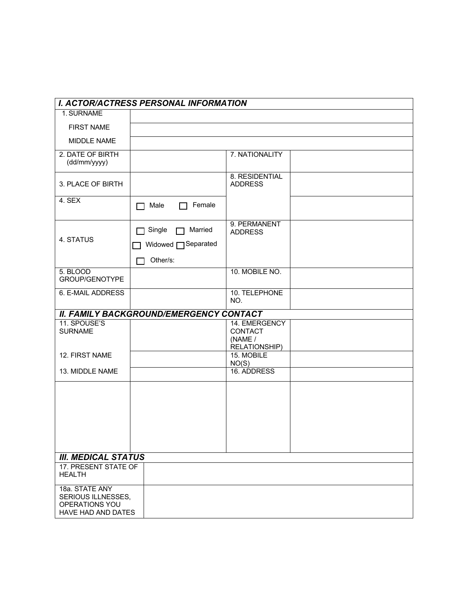|                                                                              | <b>I. ACTOR/ACTRESS PERSONAL INFORMATION</b>              |                                                             |  |
|------------------------------------------------------------------------------|-----------------------------------------------------------|-------------------------------------------------------------|--|
| 1. SURNAME                                                                   |                                                           |                                                             |  |
| <b>FIRST NAME</b>                                                            |                                                           |                                                             |  |
| MIDDLE NAME                                                                  |                                                           |                                                             |  |
| 2. DATE OF BIRTH<br>(dd/mm/yyyy)                                             |                                                           | 7. NATIONALITY                                              |  |
| 3. PLACE OF BIRTH                                                            |                                                           | 8. RESIDENTIAL<br><b>ADDRESS</b>                            |  |
| 4. SEX                                                                       | Female<br>Male                                            |                                                             |  |
| 4. STATUS                                                                    | Married<br>Single<br>Widowed <b>Separated</b><br>Other/s: | 9. PERMANENT<br><b>ADDRESS</b>                              |  |
| 5. BLOOD<br>GROUP/GENOTYPE                                                   |                                                           | 10. MOBILE NO.                                              |  |
| <b>6. E-MAIL ADDRESS</b>                                                     |                                                           | 10. TELEPHONE<br>NO.                                        |  |
|                                                                              | <b>II. FAMILY BACKGROUND/EMERGENCY CONTACT</b>            |                                                             |  |
| 11. SPOUSE'S<br><b>SURNAME</b>                                               |                                                           | 14. EMERGENCY<br><b>CONTACT</b><br>(NAME /<br>RELATIONSHIP) |  |
| 12. FIRST NAME                                                               |                                                           | 15. MOBILE<br>NO(S)                                         |  |
| 13. MIDDLE NAME                                                              |                                                           | 16. ADDRESS                                                 |  |
|                                                                              |                                                           |                                                             |  |
| <b>III. MEDICAL STATUS</b>                                                   |                                                           |                                                             |  |
| 17. PRESENT STATE OF<br><b>HEALTH</b>                                        |                                                           |                                                             |  |
| 18a. STATE ANY<br>SERIOUS ILLNESSES,<br>OPERATIONS YOU<br>HAVE HAD AND DATES |                                                           |                                                             |  |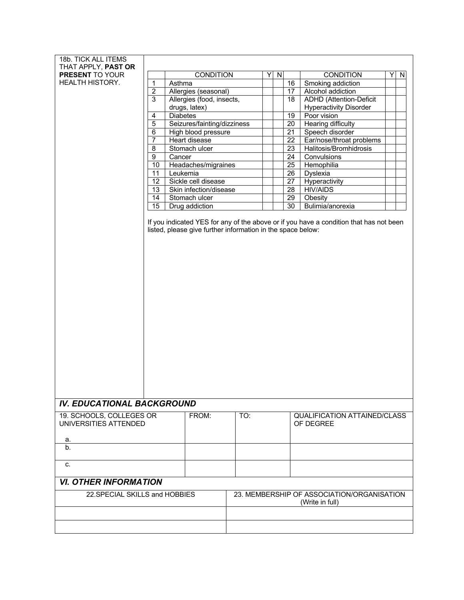| 18b. TICK ALL ITEMS                    |                |                                                               |                             |     |   |                         |                 |                                |   |   |
|----------------------------------------|----------------|---------------------------------------------------------------|-----------------------------|-----|---|-------------------------|-----------------|--------------------------------|---|---|
| THAT APPLY, PAST OR<br>PRESENT TO YOUR |                |                                                               | <b>CONDITION</b>            |     | Y | $\overline{\mathbf{z}}$ |                 | <b>CONDITION</b>               | Y | N |
| HEALTH HISTORY.                        | 1              | Asthma                                                        |                             |     |   |                         | 16              | Smoking addiction              |   |   |
|                                        | $\overline{2}$ |                                                               | Allergies (seasonal)        |     |   |                         | 17              | Alcohol addiction              |   |   |
|                                        | $\overline{3}$ |                                                               | Allergies (food, insects,   |     |   |                         | 18              | <b>ADHD</b> (Attention-Deficit |   |   |
|                                        |                |                                                               | drugs, latex)               |     |   |                         |                 | <b>Hyperactivity Disorder</b>  |   |   |
|                                        | 4              | <b>Diabetes</b>                                               |                             |     |   |                         | 19              | Poor vision                    |   |   |
|                                        | $\overline{5}$ |                                                               | Seizures/fainting/dizziness |     |   |                         | $\overline{20}$ | <b>Hearing difficulty</b>      |   |   |
|                                        | 6              |                                                               | High blood pressure         |     |   |                         | 21              | Speech disorder                |   |   |
|                                        | $\overline{7}$ |                                                               | Heart disease               |     |   |                         | 22              | Ear/nose/throat problems       |   |   |
|                                        | 8              |                                                               | Stomach ulcer               |     |   |                         | 23              | Halitosis/Bromhidrosis         |   |   |
|                                        | 9              | Cancer                                                        |                             |     |   |                         | $\overline{24}$ | Convulsions                    |   |   |
|                                        | 10             |                                                               | Headaches/migraines         |     |   |                         | 25              | Hemophilia                     |   |   |
|                                        | 11             | Leukemia                                                      |                             |     |   |                         | 26              | Dyslexia                       |   |   |
|                                        | 12             |                                                               | Sickle cell disease         |     |   |                         | 27              | Hyperactivity                  |   |   |
|                                        | 13             |                                                               | Skin infection/disease      |     |   |                         | 28              | <b>HIV/AIDS</b>                |   |   |
|                                        | 14             |                                                               | Stomach ulcer               |     |   |                         | 29              | Obesity                        |   |   |
|                                        | 15             |                                                               | Drug addiction              |     |   |                         | 30              | Bulimia/anorexia               |   |   |
|                                        |                |                                                               |                             |     |   |                         |                 |                                |   |   |
| <b>IV. EDUCATIONAL BACKGROUND</b>      |                |                                                               |                             |     |   |                         |                 |                                |   |   |
| 19. SCHOOLS, COLLEGES OR               |                |                                                               | FROM:                       | TO: |   |                         |                 | QUALIFICATION ATTAINED/CLASS   |   |   |
| UNIVERSITIES ATTENDED                  |                |                                                               |                             |     |   |                         |                 | OF DEGREE                      |   |   |
|                                        |                |                                                               |                             |     |   |                         |                 |                                |   |   |
| a.                                     |                |                                                               |                             |     |   |                         |                 |                                |   |   |
| b.                                     |                |                                                               |                             |     |   |                         |                 |                                |   |   |
|                                        |                |                                                               |                             |     |   |                         |                 |                                |   |   |
| c.                                     |                |                                                               |                             |     |   |                         |                 |                                |   |   |
| <b>VI. OTHER INFORMATION</b>           |                |                                                               |                             |     |   |                         |                 |                                |   |   |
| 22. SPECIAL SKILLS and HOBBIES         |                | 23. MEMBERSHIP OF ASSOCIATION/ORGANISATION<br>(Write in full) |                             |     |   |                         |                 |                                |   |   |
|                                        |                |                                                               |                             |     |   |                         |                 |                                |   |   |
|                                        |                |                                                               |                             |     |   |                         |                 |                                |   |   |
|                                        |                |                                                               |                             |     |   |                         |                 |                                |   |   |